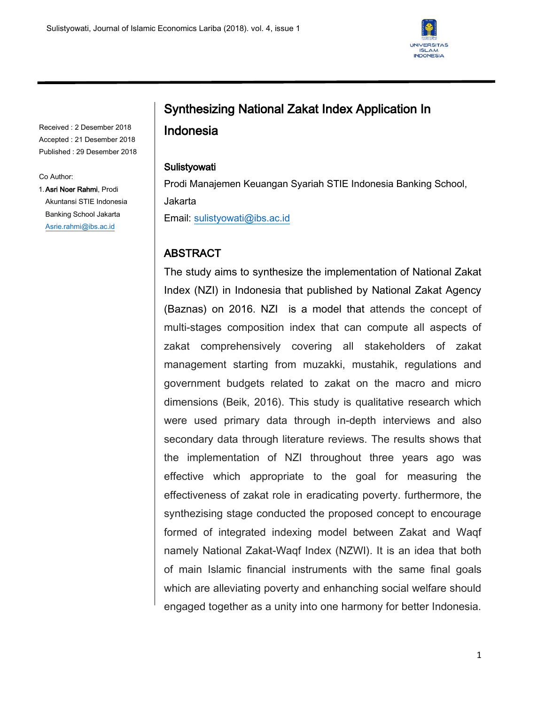٦



Received : 2 Desember 2018 Accepted : 21 Desember 2018 Published : 29 Desember 2018

#### Co Author:

1.Asri Noer Rahmi, Prodi Akuntansi STIE Indonesia Banking School Jakarta [Asrie.rahmi@ibs.ac.id](mailto:Asrie.rahmi@ibs.ac.id)

# Synthesizing National Zakat Index Application In Indonesia

### Sulistyowati

Prodi Manajemen Keuangan Syariah STIE Indonesia Banking School, Jakarta Email: [sulistyowati@ibs.ac.id](mailto:sulistyowati@ibs.ac.id)

## ABSTRACT

The study aims to synthesize the implementation of National Zakat Index (NZI) in Indonesia that published by National Zakat Agency (Baznas) on 2016. NZI is a model that attends the concept of multi-stages composition index that can compute all aspects of zakat comprehensively covering all stakeholders of zakat management starting from muzakki, mustahik, regulations and government budgets related to zakat on the macro and micro dimensions (Beik, 2016). This study is qualitative research which were used primary data through in-depth interviews and also secondary data through literature reviews. The results shows that the implementation of NZI throughout three years ago was effective which appropriate to the goal for measuring the effectiveness of zakat role in eradicating poverty. furthermore, the synthezising stage conducted the proposed concept to encourage formed of integrated indexing model between Zakat and Waqf namely National Zakat-Waqf Index (NZWI). It is an idea that both of main Islamic financial instruments with the same final goals which are alleviating poverty and enhanching social welfare should engaged together as a unity into one harmony for better Indonesia.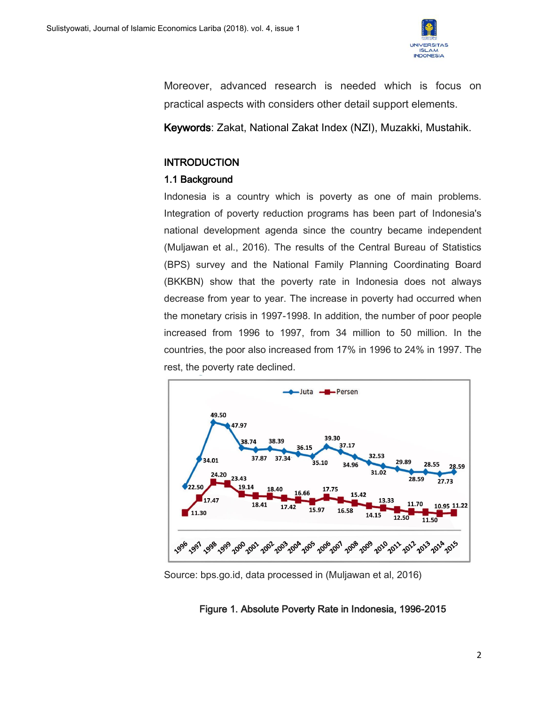

Moreover, advanced research is needed which is focus on practical aspects with considers other detail support elements.

Keywords: Zakat, National Zakat Index (NZI), Muzakki, Mustahik.

## **INTRODUCTION**

## 1.1 Background

Indonesia is a country which is poverty as one of main problems. Integration of poverty reduction programs has been part of Indonesia's national development agenda since the country became independent (Muljawan et al., 2016). The results of the Central Bureau of Statistics (BPS) survey and the National Family Planning Coordinating Board (BKKBN) show that the poverty rate in Indonesia does not always decrease from year to year. The increase in poverty had occurred when the monetary crisis in 1997-1998. In addition, the number of poor people increased from 1996 to 1997, from 34 million to 50 million. In the countries, the poor also increased from 17% in 1996 to 24% in 1997. The rest, the poverty rate declined.



Source: bps.go.id, data processed in (Muljawan et al, 2016)

## Figure 1. Absolute Poverty Rate in Indonesia, 1996-2015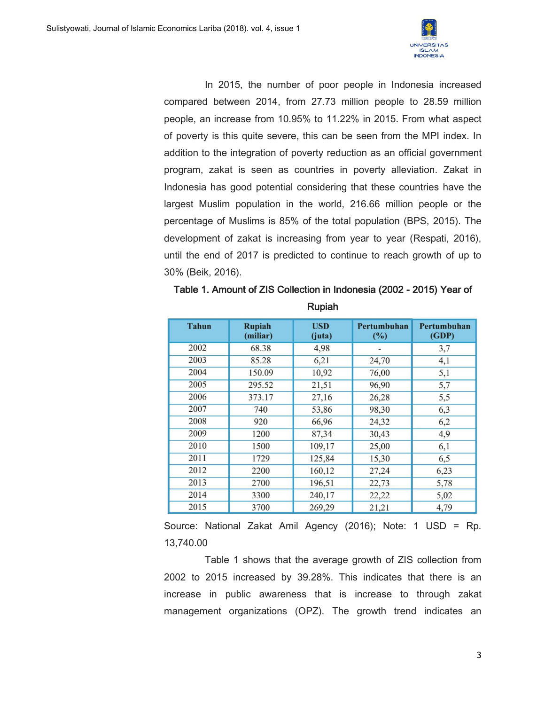

In 2015, the number of poor people in Indonesia increased compared between 2014, from 27.73 million people to 28.59 million people, an increase from 10.95% to 11.22% in 2015. From what aspect of poverty is this quite severe, this can be seen from the MPI index. In addition to the integration of poverty reduction as an official government program, zakat is seen as countries in poverty alleviation. Zakat in Indonesia has good potential considering that these countries have the largest Muslim population in the world, 216.66 million people or the percentage of Muslims is 85% of the total population (BPS, 2015). The development of zakat is increasing from year to year (Respati, 2016), until the end of 2017 is predicted to continue to reach growth of up to 30% (Beik, 2016).

| <b>Tahun</b> | <b>Rupiah</b><br>(miliar) | <b>USD</b><br>(iuta) | Pertumbuhan<br>$(\%)$ | Pertumbuhan<br>(GDP) |
|--------------|---------------------------|----------------------|-----------------------|----------------------|
| 2002         | 68.38                     | 4,98                 |                       | 3,7                  |
| 2003         | 85.28                     | 6,21                 | 24,70                 | 4,1                  |
| 2004         | 150.09                    | 10,92                | 76,00                 | 5,1                  |
| 2005         | 295.52                    | 21,51                | 96,90                 | 5,7                  |
| 2006         | 373.17                    | 27,16                | 26,28                 | 5,5                  |
| 2007         | 740                       | 53,86                | 98,30                 | 6,3                  |
| 2008         | 920                       | 66,96                | 24,32                 | 6,2                  |
| 2009         | 1200                      | 87,34                | 30,43                 | 4,9                  |
| 2010         | 1500                      | 109,17               | 25,00                 | 6,1                  |
| 2011         | 1729                      | 125,84               | 15,30                 | 6,5                  |
| 2012         | 2200                      | 160,12               | 27,24                 | 6,23                 |
| 2013         | 2700                      | 196,51               | 22,73                 | 5,78                 |
| 2014         | 3300                      | 240,17               | 22,22                 | 5,02                 |
| 2015         | 3700                      | 269,29               | 21,21                 | 4,79                 |

Table 1. Amount of ZIS Collection in Indonesia (2002 - 2015) Year of Rupiah

Source: National Zakat Amil Agency (2016); Note: 1 USD = Rp. 13,740.00

Table 1 shows that the average growth of ZIS collection from 2002 to 2015 increased by 39.28%. This indicates that there is an increase in public awareness that is increase to through zakat management organizations (OPZ). The growth trend indicates an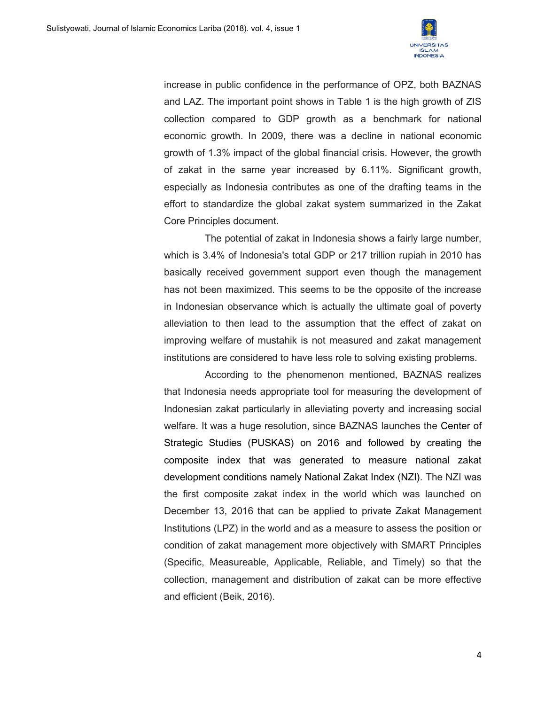

increase in public confidence in the performance of OPZ, both BAZNAS and LAZ. The important point shows in Table 1 is the high growth of ZIS collection compared to GDP growth as a benchmark for national economic growth. In 2009, there was a decline in national economic growth of 1.3% impact of the global financial crisis. However, the growth of zakat in the same year increased by 6.11%. Significant growth, especially as Indonesia contributes as one of the drafting teams in the effort to standardize the global zakat system summarized in the Zakat Core Principles document.

The potential of zakat in Indonesia shows a fairly large number, which is 3.4% of Indonesia's total GDP or 217 trillion rupiah in 2010 has basically received government support even though the management has not been maximized. This seems to be the opposite of the increase in Indonesian observance which is actually the ultimate goal of poverty alleviation to then lead to the assumption that the effect of zakat on improving welfare of mustahik is not measured and zakat management institutions are considered to have less role to solving existing problems.

According to the phenomenon mentioned, BAZNAS realizes that Indonesia needs appropriate tool for measuring the development of Indonesian zakat particularly in alleviating poverty and increasing social welfare. It was a huge resolution, since BAZNAS launches the Center of Strategic Studies (PUSKAS) on 2016 and followed by creating the composite index that was generated to measure national zakat development conditions namely National Zakat Index (NZI). The NZI was the first composite zakat index in the world which was launched on December 13, 2016 that can be applied to private Zakat Management Institutions (LPZ) in the world and as a measure to assess the position or condition of zakat management more objectively with SMART Principles (Specific, Measureable, Applicable, Reliable, and Timely) so that the collection, management and distribution of zakat can be more effective and efficient (Beik, 2016).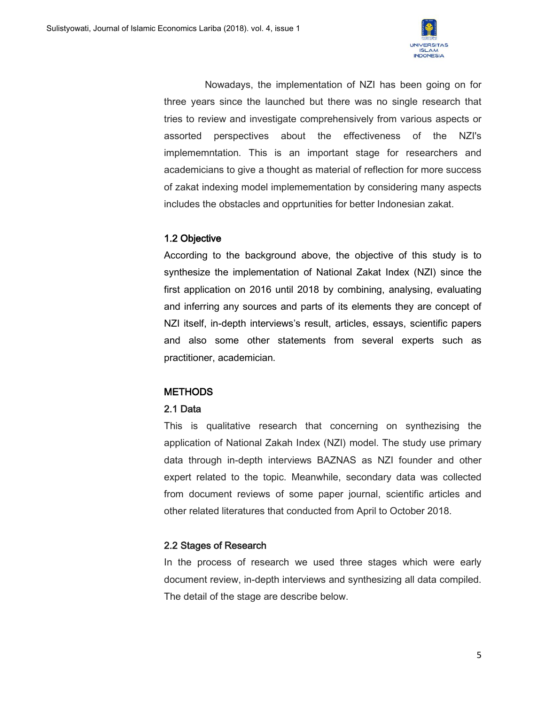

Nowadays, the implementation of NZI has been going on for three years since the launched but there was no single research that tries to review and investigate comprehensively from various aspects or assorted perspectives about the effectiveness of the NZI's implememntation. This is an important stage for researchers and academicians to give a thought as material of reflection for more success of zakat indexing model implemementation by considering many aspects includes the obstacles and opprtunities for better Indonesian zakat.

## 1.2 Objective

According to the background above, the objective of this study is to synthesize the implementation of National Zakat Index (NZI) since the first application on 2016 until 2018 by combining, analysing, evaluating and inferring any sources and parts of its elements they are concept of NZI itself, in-depth interviews's result, articles, essays, scientific papers and also some other statements from several experts such as practitioner, academician.

## **METHODS**

#### 2.1 Data

This is qualitative research that concerning on synthezising the application of National Zakah Index (NZI) model. The study use primary data through in-depth interviews BAZNAS as NZI founder and other expert related to the topic. Meanwhile, secondary data was collected from document reviews of some paper journal, scientific articles and other related literatures that conducted from April to October 2018.

## 2.2 Stages of Research

In the process of research we used three stages which were early document review, in-depth interviews and synthesizing all data compiled. The detail of the stage are describe below.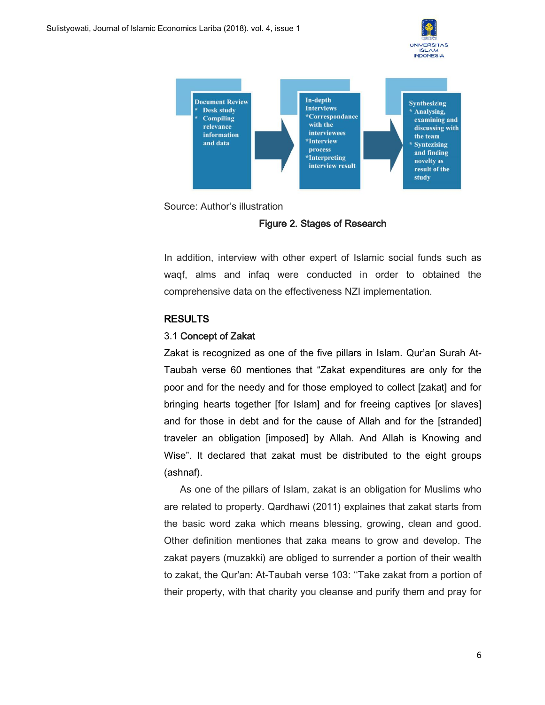







In addition, interview with other expert of Islamic social funds such as waqf, alms and infaq were conducted in order to obtained the comprehensive data on the effectiveness NZI implementation.

#### **RESULTS**

#### 3.1 Concept of Zakat

Zakat is recognized as one of the five pillars in Islam. Qur'an Surah At-Taubah verse 60 mentiones that "Zakat expenditures are only for the poor and for the needy and for those employed to collect [zakat] and for bringing hearts together [for Islam] and for freeing captives [or slaves] and for those in debt and for the cause of Allah and for the [stranded] traveler an obligation [imposed] by Allah. And Allah is Knowing and Wise". It declared that zakat must be distributed to the eight groups (ashnaf).

As one of the pillars of Islam, zakat is an obligation for Muslims who are related to property. Qardhawi (2011) explaines that zakat starts from the basic word zaka which means blessing, growing, clean and good. Other definition mentiones that zaka means to grow and develop. The zakat payers (muzakki) are obliged to surrender a portion of their wealth to zakat, the Qur'an: At-Taubah verse 103: ''Take zakat from a portion of their property, with that charity you cleanse and purify them and pray for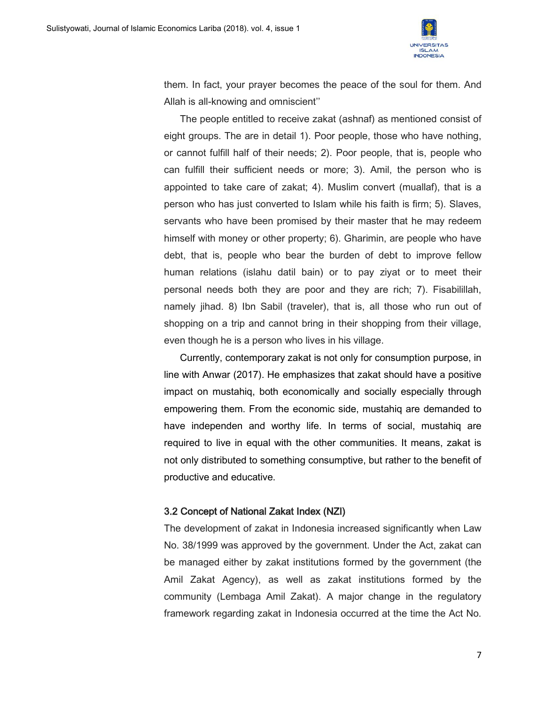

them. In fact, your prayer becomes the peace of the soul for them. And Allah is all-knowing and omniscient''

The people entitled to receive zakat (ashnaf) as mentioned consist of eight groups. The are in detail 1). Poor people, those who have nothing, or cannot fulfill half of their needs; 2). Poor people, that is, people who can fulfill their sufficient needs or more; 3). Amil, the person who is appointed to take care of zakat; 4). Muslim convert (muallaf), that is a person who has just converted to Islam while his faith is firm; 5). Slaves, servants who have been promised by their master that he may redeem himself with money or other property; 6). Gharimin, are people who have debt, that is, people who bear the burden of debt to improve fellow human relations (islahu datil bain) or to pay ziyat or to meet their personal needs both they are poor and they are rich; 7). Fisabilillah, namely jihad. 8) Ibn Sabil (traveler), that is, all those who run out of shopping on a trip and cannot bring in their shopping from their village, even though he is a person who lives in his village.

Currently, contemporary zakat is not only for consumption purpose, in line with Anwar (2017). He emphasizes that zakat should have a positive impact on mustahiq, both economically and socially especially through empowering them. From the economic side, mustahiq are demanded to have independen and worthy life. In terms of social, mustahiq are required to live in equal with the other communities. It means, zakat is not only distributed to something consumptive, but rather to the benefit of productive and educative.

#### 3.2 Concept of National Zakat Index (NZI)

The development of zakat in Indonesia increased significantly when Law No. 38/1999 was approved by the government. Under the Act, zakat can be managed either by zakat institutions formed by the government (the Amil Zakat Agency), as well as zakat institutions formed by the community (Lembaga Amil Zakat). A major change in the regulatory framework regarding zakat in Indonesia occurred at the time the Act No.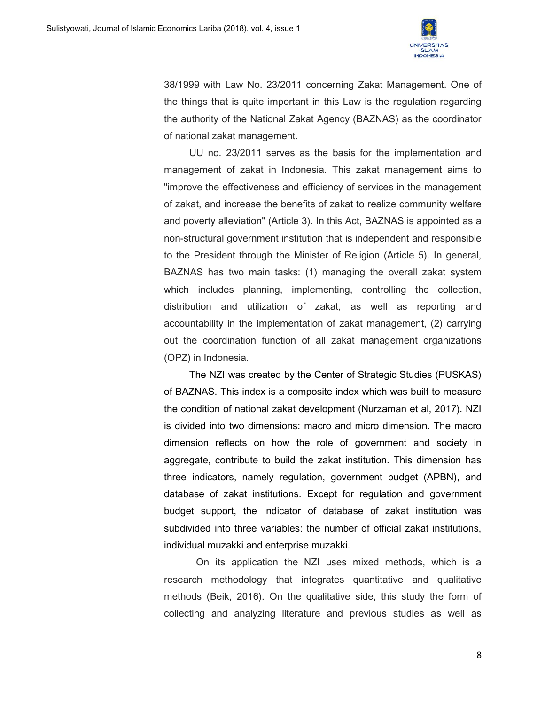

38/1999 with Law No. 23/2011 concerning Zakat Management. One of the things that is quite important in this Law is the regulation regarding the authority of the National Zakat Agency (BAZNAS) as the coordinator of national zakat management.

UU no. 23/2011 serves as the basis for the implementation and management of zakat in Indonesia. This zakat management aims to "improve the effectiveness and efficiency of services in the management of zakat, and increase the benefits of zakat to realize community welfare and poverty alleviation" (Article 3). In this Act, BAZNAS is appointed as a non-structural government institution that is independent and responsible to the President through the Minister of Religion (Article 5). In general, BAZNAS has two main tasks: (1) managing the overall zakat system which includes planning, implementing, controlling the collection, distribution and utilization of zakat, as well as reporting and accountability in the implementation of zakat management, (2) carrying out the coordination function of all zakat management organizations (OPZ) in Indonesia.

The NZI was created by the Center of Strategic Studies (PUSKAS) of BAZNAS. This index is a composite index which was built to measure the condition of national zakat development (Nurzaman et al, 2017). NZI is divided into two dimensions: macro and micro dimension. The macro dimension reflects on how the role of government and society in aggregate, contribute to build the zakat institution. This dimension has three indicators, namely regulation, government budget (APBN), and database of zakat institutions. Except for regulation and government budget support, the indicator of database of zakat institution was subdivided into three variables: the number of official zakat institutions, individual muzakki and enterprise muzakki.

On its application the NZI uses mixed methods, which is a research methodology that integrates quantitative and qualitative methods (Beik, 2016). On the qualitative side, this study the form of collecting and analyzing literature and previous studies as well as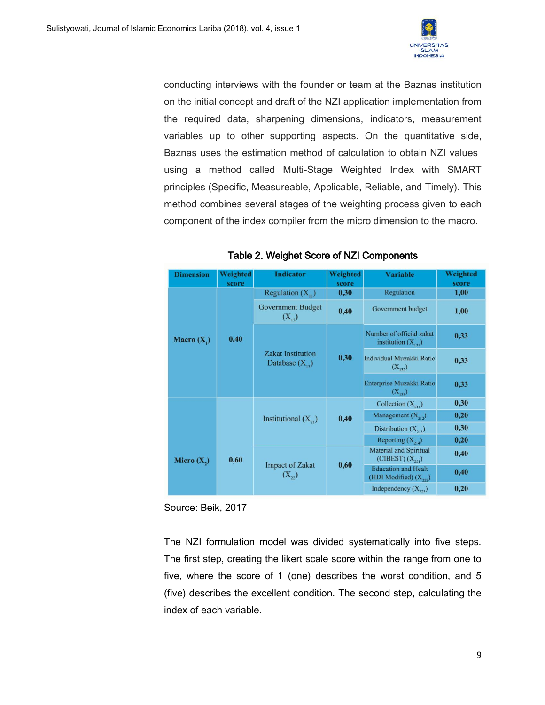

conducting interviews with the founder or team at the Baznas institution on the initial concept and draft of the NZI application implementation from the required data, sharpening dimensions, indicators, measurement variables up to other supporting aspects. On the quantitative side, Baznas uses the estimation method of calculation to obtain NZI values using a method called Multi-Stage Weighted Index with SMART principles (Specific, Measureable, Applicable, Reliable, and Timely). This method combines several stages of the weighting process given to each component of the index compiler from the micro dimension to the macro.

| <b>Dimension</b> | Weighted | <b>Indicator</b>                                | Weighted | <b>Variable</b>                                         | Weighted |
|------------------|----------|-------------------------------------------------|----------|---------------------------------------------------------|----------|
|                  | score    |                                                 | score    |                                                         | score    |
| Macro $(X_1)$    | 0,40     | Regulation $(X_{ij})$                           | 0,30     | Regulation<br>1,00                                      |          |
|                  |          | <b>Government Budget</b><br>$(X_{12})$          | 0,40     | Government budget                                       | 1,00     |
|                  |          | <b>Zakat Institution</b><br>Database $(X_{12})$ | 0,30     | Number of official zakat<br>institution $(X_{131})$     | 0,33     |
|                  |          |                                                 |          | Individual Muzakki Ratio<br>$(X_{132})$                 | 0,33     |
|                  |          |                                                 |          | Enterprise Muzakki Ratio<br>$(X_{133})$                 | 0,33     |
|                  |          | Institutional $(X_{21})$                        | 0,40     | Collection $(X_{21})$                                   | 0,30     |
|                  |          |                                                 |          | Management $(X_{212})$                                  | 0,20     |
|                  | 0,60     |                                                 |          | Distribution $(X_{213})$                                | 0,30     |
| Micro $(X_2)$    |          |                                                 |          | Reporting $(X_{214})$                                   | 0.20     |
|                  |          | <b>Impact of Zakat</b><br>$(X_{22})$            | 0,60     | <b>Material and Spiritual</b><br>$(CIBEST)(X_{221})$    | 0,40     |
|                  |          |                                                 |          | <b>Education and Healt</b><br>(HDI Modified) $(X_{22})$ | 0,40     |
|                  |          |                                                 |          | Independency $(X_{223})$                                | 0,20     |

#### Table 2. Weighet Score of NZI Components

Source: Beik, 2017

The NZI formulation model was divided systematically into five steps. The first step, creating the likert scale score within the range from one to five, where the score of 1 (one) describes the worst condition, and 5 (five) describes the excellent condition. The second step, calculating the index of each variable.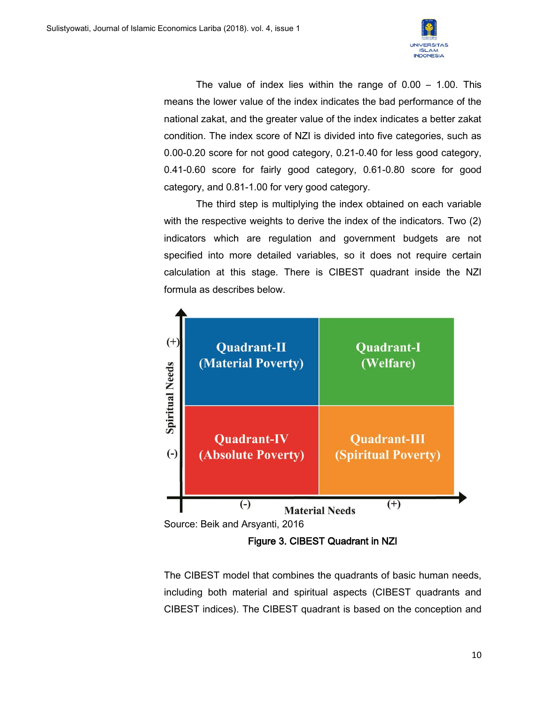

The value of index lies within the range of 0.00 – 1.00. This means the lower value of the index indicates the bad performance of the national zakat, and the greater value of the index indicates a better zakat condition. The index score of NZI is divided into five categories, such as 0.00-0.20 score for not good category, 0.21-0.40 for less good category, 0.41-0.60 score for fairly good category, 0.61-0.80 score for good category, and 0.81-1.00 for very good category.

The third step is multiplying the index obtained on each variable with the respective weights to derive the index of the indicators. Two (2) indicators which are regulation and government budgets are not specified into more detailed variables, so it does not require certain calculation at this stage. There is CIBEST quadrant inside the NZI formula as describes below.



Figure 3. CIBEST Quadrant in NZI

The CIBEST model that combines the quadrants of basic human needs, including both material and spiritual aspects (CIBEST quadrants and CIBEST indices). The CIBEST quadrant is based on the conception and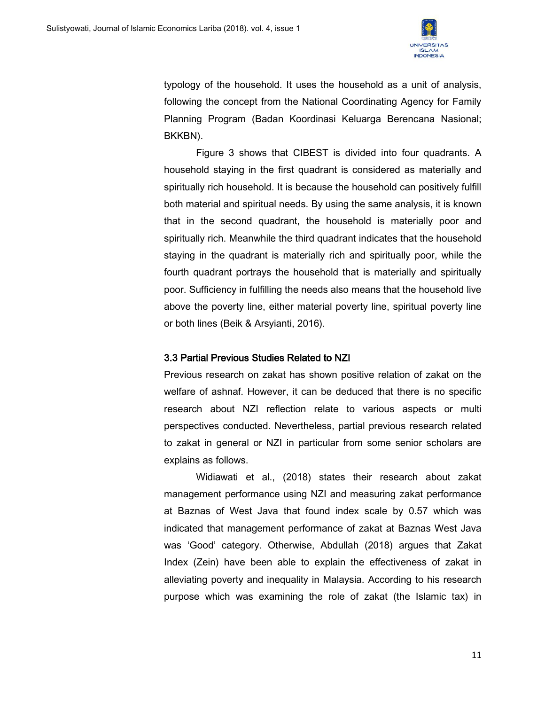

typology of the household. It uses the household as a unit of analysis, following the concept from the National Coordinating Agency for Family Planning Program (Badan Koordinasi Keluarga Berencana Nasional; BKKBN).

Figure 3 shows that CIBEST is divided into four quadrants. A household staying in the first quadrant is considered as materially and spiritually rich household. It is because the household can positively fulfill both material and spiritual needs. By using the same analysis, it is known that in the second quadrant, the household is materially poor and spiritually rich. Meanwhile the third quadrant indicates that the household staying in the quadrant is materially rich and spiritually poor, while the fourth quadrant portrays the household that is materially and spiritually poor. Sufficiency in fulfilling the needs also means that the household live above the poverty line, either material poverty line, spiritual poverty line or both lines (Beik & Arsyianti, 2016).

#### 3.3 Partial Previous Studies Related to NZI

Previous research on zakat has shown positive relation of zakat on the welfare of ashnaf. However, it can be deduced that there is no specific research about NZI reflection relate to various aspects or multi perspectives conducted. Nevertheless, partial previous research related to zakat in general or NZI in particular from some senior scholars are explains as follows.

Widiawati et al., (2018) states their research about zakat management performance using NZI and measuring zakat performance at Baznas of West Java that found index scale by 0.57 which was indicated that management performance of zakat at Baznas West Java was 'Good' category. Otherwise, Abdullah (2018) argues that Zakat Index (Zein) have been able to explain the effectiveness of zakat in alleviating poverty and inequality in Malaysia. According to his research purpose which was examining the role of zakat (the Islamic tax) in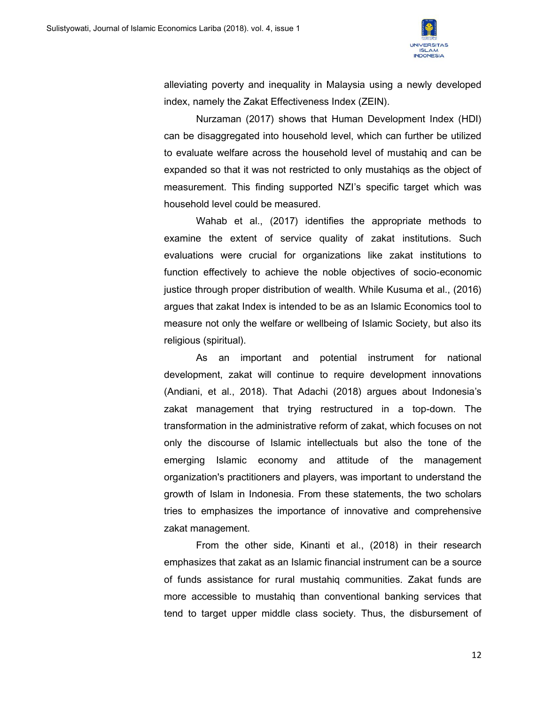

alleviating poverty and inequality in Malaysia using a newly developed index, namely the Zakat Effectiveness Index (ZEIN).

Nurzaman (2017) shows that Human Development Index (HDI) can be disaggregated into household level, which can further be utilized to evaluate welfare across the household level of mustahiq and can be expanded so that it was not restricted to only mustahiqs as the object of measurement. This finding supported NZI's specific target which was household level could be measured.

Wahab et al., (2017) identifies the appropriate methods to examine the extent of service quality of zakat institutions. Such evaluations were crucial for organizations like zakat institutions to function effectively to achieve the noble objectives of socio-economic justice through proper distribution of wealth. While Kusuma et al., (2016) argues that zakat Index is intended to be as an Islamic Economics tool to measure not only the welfare or wellbeing of Islamic Society, but also its religious (spiritual).

As an important and potential instrument for national development, zakat will continue to require development innovations (Andiani, et al., 2018). That Adachi (2018) argues about Indonesia's zakat management that trying restructured in a top-down. The transformation in the administrative reform of zakat, which focuses on not only the discourse of Islamic intellectuals but also the tone of the emerging Islamic economy and attitude of the management organization's practitioners and players, was important to understand the growth of Islam in Indonesia. From these statements, the two scholars tries to emphasizes the importance of innovative and comprehensive zakat management.

From the other side, Kinanti et al., (2018) in their research emphasizes that zakat as an Islamic financial instrument can be a source of funds assistance for rural mustahiq communities. Zakat funds are more accessible to mustahiq than conventional banking services that tend to target upper middle class society. Thus, the disbursement of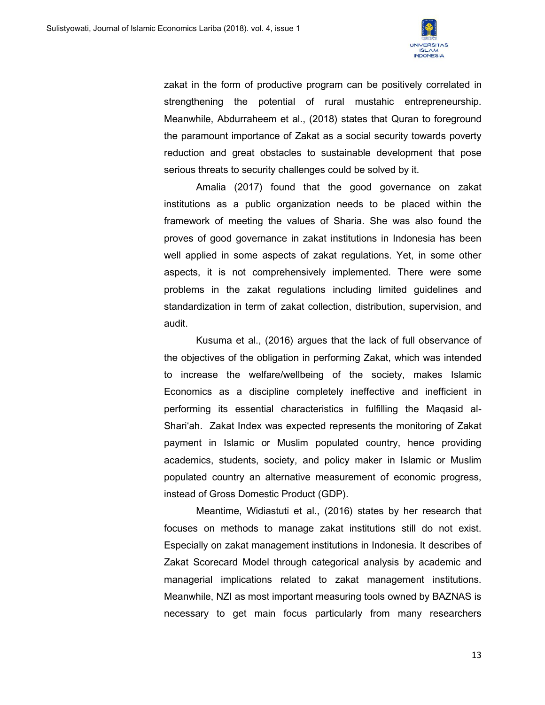

zakat in the form of productive program can be positively correlated in strengthening the potential of rural mustahic entrepreneurship. Meanwhile, Abdurraheem et al., (2018) states that Quran to foreground the paramount importance of Zakat as a social security towards poverty reduction and great obstacles to sustainable development that pose serious threats to security challenges could be solved by it.

Amalia (2017) found that the good governance on zakat institutions as a public organization needs to be placed within the framework of meeting the values of Sharia. She was also found the proves of good governance in zakat institutions in Indonesia has been well applied in some aspects of zakat regulations. Yet, in some other aspects, it is not comprehensively implemented. There were some problems in the zakat regulations including limited guidelines and standardization in term of zakat collection, distribution, supervision, and audit.

Kusuma et al., (2016) argues that the lack of full observance of the objectives of the obligation in performing Zakat, which was intended to increase the welfare/wellbeing of the society, makes Islamic Economics as a discipline completely ineffective and inefficient in performing its essential characteristics in fulfilling the Maqasid al-Shari'ah. Zakat Index was expected represents the monitoring of Zakat payment in Islamic or Muslim populated country, hence providing academics, students, society, and policy maker in Islamic or Muslim populated country an alternative measurement of economic progress, instead of Gross Domestic Product (GDP).

Meantime, Widiastuti et al., (2016) states by her research that focuses on methods to manage zakat institutions still do not exist. Especially on zakat management institutions in Indonesia. It describes of Zakat Scorecard Model through categorical analysis by academic and managerial implications related to zakat management institutions. Meanwhile, NZI as most important measuring tools owned by BAZNAS is necessary to get main focus particularly from many researchers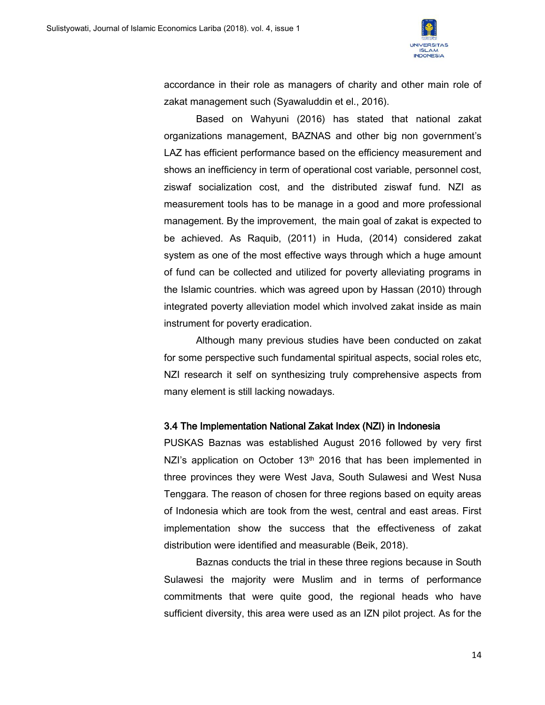

accordance in their role as managers of charity and other main role of zakat management such (Syawaluddin et el., 2016).

Based on Wahyuni (2016) has stated that national zakat organizations management, BAZNAS and other big non government's LAZ has efficient performance based on the efficiency measurement and shows an inefficiency in term of operational cost variable, personnel cost, ziswaf socialization cost, and the distributed ziswaf fund. NZI as measurement tools has to be manage in a good and more professional management. By the improvement, the main goal of zakat is expected to be achieved. As Raquib, (2011) in Huda, (2014) considered zakat system as one of the most effective ways through which a huge amount of fund can be collected and utilized for poverty alleviating programs in the Islamic countries. which was agreed upon by Hassan (2010) through integrated poverty alleviation model which involved zakat inside as main instrument for poverty eradication.

Although many previous studies have been conducted on zakat for some perspective such fundamental spiritual aspects, social roles etc, NZI research it self on synthesizing truly comprehensive aspects from many element is still lacking nowadays.

#### 3.4 The Implementation National Zakat Index (NZI) in Indonesia

PUSKAS Baznas was established August 2016 followed by very first NZI's application on October 13<sup>th</sup> 2016 that has been implemented in three provinces they were West Java, South Sulawesi and West Nusa Tenggara. The reason of chosen for three regions based on equity areas of Indonesia which are took from the west, central and east areas. First implementation show the success that the effectiveness of zakat distribution were identified and measurable (Beik, 2018).

Baznas conducts the trial in these three regions because in South Sulawesi the majority were Muslim and in terms of performance commitments that were quite good, the regional heads who have sufficient diversity, this area were used as an IZN pilot project. As for the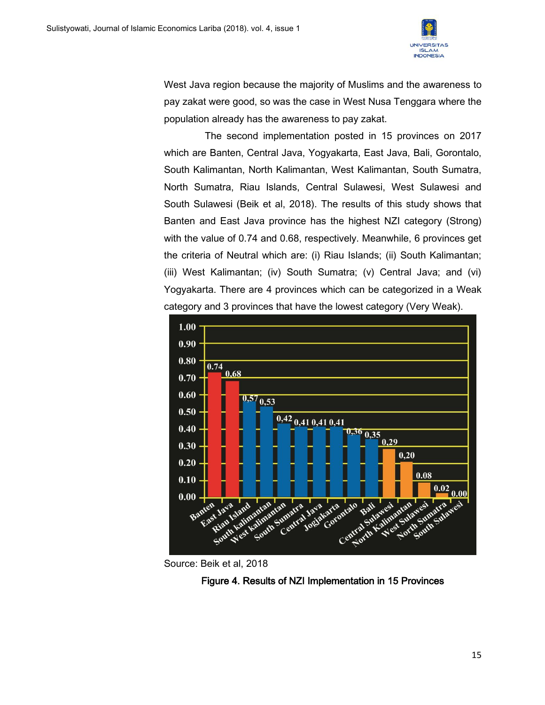

West Java region because the majority of Muslims and the awareness to pay zakat were good, so was the case in West Nusa Tenggara where the population already has the awareness to pay zakat.

The second implementation posted in 15 provinces on 2017 which are Banten, Central Java, Yogyakarta, East Java, Bali, Gorontalo, South Kalimantan, North Kalimantan, West Kalimantan, South Sumatra, North Sumatra, Riau Islands, Central Sulawesi, West Sulawesi and South Sulawesi (Beik et al, 2018). The results of this study shows that Banten and East Java province has the highest NZI category (Strong) with the value of 0.74 and 0.68, respectively. Meanwhile, 6 provinces get the criteria of Neutral which are: (i) Riau Islands; (ii) South Kalimantan; (iii) West Kalimantan; (iv) South Sumatra; (v) Central Java; and (vi) Yogyakarta. There are 4 provinces which can be categorized in a Weak category and 3 provinces that have the lowest category (Very Weak).





Figure 4. Results of NZI Implementation in 15 Provinces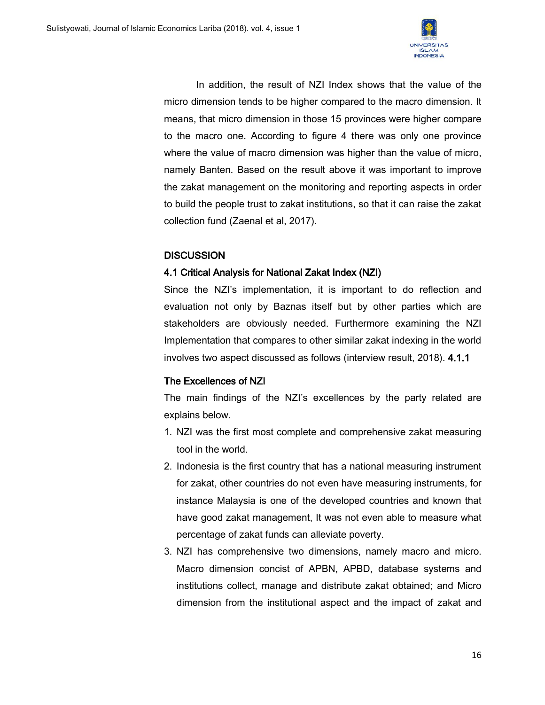

In addition, the result of NZI Index shows that the value of the micro dimension tends to be higher compared to the macro dimension. It means, that micro dimension in those 15 provinces were higher compare to the macro one. According to figure 4 there was only one province where the value of macro dimension was higher than the value of micro, namely Banten. Based on the result above it was important to improve the zakat management on the monitoring and reporting aspects in order to build the people trust to zakat institutions, so that it can raise the zakat collection fund (Zaenal et al, 2017).

## **DISCUSSION**

### 4.1 Critical Analysis for National Zakat Index (NZI)

Since the NZI's implementation, it is important to do reflection and evaluation not only by Baznas itself but by other parties which are stakeholders are obviously needed. Furthermore examining the NZI Implementation that compares to other similar zakat indexing in the world involves two aspect discussed as follows (interview result, 2018). 4.1.1

## The Excellences of NZI

The main findings of the NZI's excellences by the party related are explains below.

- 1. NZI was the first most complete and comprehensive zakat measuring tool in the world.
- 2. Indonesia is the first country that has a national measuring instrument for zakat, other countries do not even have measuring instruments, for instance Malaysia is one of the developed countries and known that have good zakat management, It was not even able to measure what percentage of zakat funds can alleviate poverty.
- 3. NZI has comprehensive two dimensions, namely macro and micro. Macro dimension concist of APBN, APBD, database systems and institutions collect, manage and distribute zakat obtained; and Micro dimension from the institutional aspect and the impact of zakat and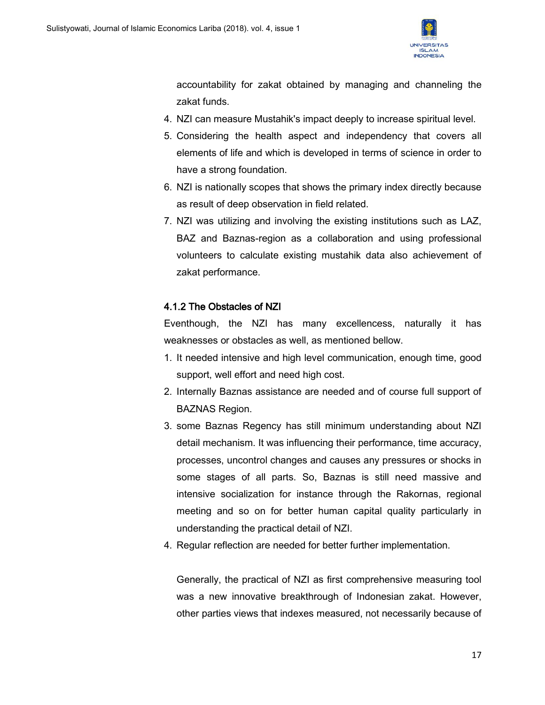

accountability for zakat obtained by managing and channeling the zakat funds.

- 4. NZI can measure Mustahik's impact deeply to increase spiritual level.
- 5. Considering the health aspect and independency that covers all elements of life and which is developed in terms of science in order to have a strong foundation.
- 6. NZI is nationally scopes that shows the primary index directly because as result of deep observation in field related.
- 7. NZI was utilizing and involving the existing institutions such as LAZ, BAZ and Baznas-region as a collaboration and using professional volunteers to calculate existing mustahik data also achievement of zakat performance.

## 4.1.2 The Obstacles of NZI

Eventhough, the NZI has many excellencess, naturally it has weaknesses or obstacles as well, as mentioned bellow.

- 1. It needed intensive and high level communication, enough time, good support, well effort and need high cost.
- 2. Internally Baznas assistance are needed and of course full support of BAZNAS Region.
- 3. some Baznas Regency has still minimum understanding about NZI detail mechanism. It was influencing their performance, time accuracy, processes, uncontrol changes and causes any pressures or shocks in some stages of all parts. So, Baznas is still need massive and intensive socialization for instance through the Rakornas, regional meeting and so on for better human capital quality particularly in understanding the practical detail of NZI.
- 4. Regular reflection are needed for better further implementation.

Generally, the practical of NZI as first comprehensive measuring tool was a new innovative breakthrough of Indonesian zakat. However, other parties views that indexes measured, not necessarily because of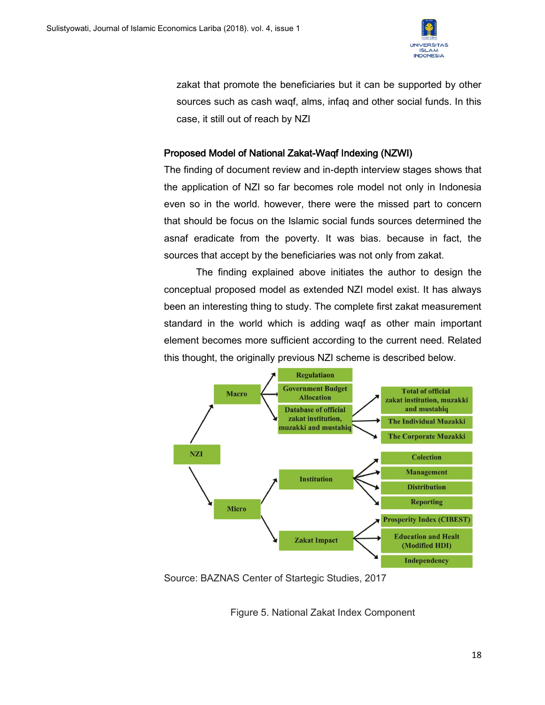

zakat that promote the beneficiaries but it can be supported by other sources such as cash waqf, alms, infaq and other social funds. In this case, it still out of reach by NZI

## Proposed Model of National Zakat-Waqf Indexing (NZWI)

The finding of document review and in-depth interview stages shows that the application of NZI so far becomes role model not only in Indonesia even so in the world. however, there were the missed part to concern that should be focus on the Islamic social funds sources determined the asnaf eradicate from the poverty. It was bias. because in fact, the sources that accept by the beneficiaries was not only from zakat.

The finding explained above initiates the author to design the conceptual proposed model as extended NZI model exist. It has always been an interesting thing to study. The complete first zakat measurement standard in the world which is adding waqf as other main important element becomes more sufficient according to the current need. Related this thought, the originally previous NZI scheme is described below.



Source: BAZNAS Center of Startegic Studies, 2017

Figure 5. National Zakat Index Component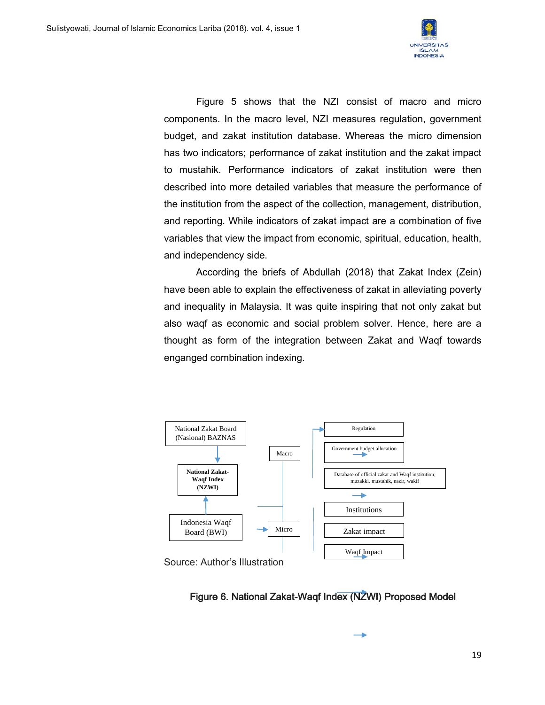

Figure 5 shows that the NZI consist of macro and micro components. In the macro level, NZI measures regulation, government budget, and zakat institution database. Whereas the micro dimension has two indicators; performance of zakat institution and the zakat impact to mustahik. Performance indicators of zakat institution were then described into more detailed variables that measure the performance of the institution from the aspect of the collection, management, distribution, and reporting. While indicators of zakat impact are a combination of five variables that view the impact from economic, spiritual, education, health, and independency side.

According the briefs of Abdullah (2018) that Zakat Index (Zein) have been able to explain the effectiveness of zakat in alleviating poverty and inequality in Malaysia. It was quite inspiring that not only zakat but also waqf as economic and social problem solver. Hence, here are a thought as form of the integration between Zakat and Waqf towards enganged combination indexing.





à.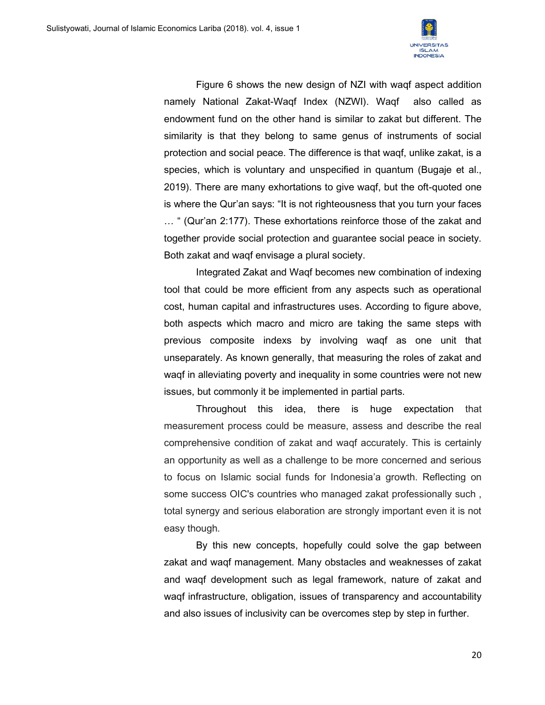

Figure 6 shows the new design of NZI with waqf aspect addition namely National Zakat-Waqf Index (NZWI). Waqf also called as endowment fund on the other hand is similar to zakat but different. The similarity is that they belong to same genus of instruments of social protection and social peace. The difference is that waqf, unlike zakat, is a species, which is voluntary and unspecified in quantum (Bugaje et al., 2019). There are many exhortations to give waqf, but the oft-quoted one is where the Qur'an says: "It is not righteousness that you turn your faces … " (Qur'an 2:177). These exhortations reinforce those of the zakat and together provide social protection and guarantee social peace in society. Both zakat and waqf envisage a plural society.

Integrated Zakat and Waqf becomes new combination of indexing tool that could be more efficient from any aspects such as operational cost, human capital and infrastructures uses. According to figure above, both aspects which macro and micro are taking the same steps with previous composite indexs by involving waqf as one unit that unseparately. As known generally, that measuring the roles of zakat and waqf in alleviating poverty and inequality in some countries were not new issues, but commonly it be implemented in partial parts.

Throughout this idea, there is huge expectation that measurement process could be measure, assess and describe the real comprehensive condition of zakat and waqf accurately. This is certainly an opportunity as well as a challenge to be more concerned and serious to focus on Islamic social funds for Indonesia'a growth. Reflecting on some success OIC's countries who managed zakat professionally such , total synergy and serious elaboration are strongly important even it is not easy though.

By this new concepts, hopefully could solve the gap between zakat and waqf management. Many obstacles and weaknesses of zakat and waqf development such as legal framework, nature of zakat and waqf infrastructure, obligation, issues of transparency and accountability and also issues of inclusivity can be overcomes step by step in further.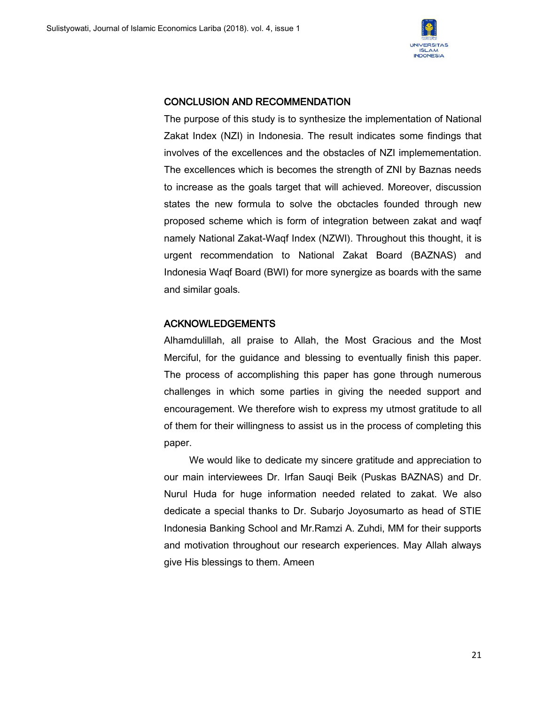

### CONCLUSION AND RECOMMENDATION

The purpose of this study is to synthesize the implementation of National Zakat Index (NZI) in Indonesia. The result indicates some findings that involves of the excellences and the obstacles of NZI implemementation. The excellences which is becomes the strength of ZNI by Baznas needs to increase as the goals target that will achieved. Moreover, discussion states the new formula to solve the obctacles founded through new proposed scheme which is form of integration between zakat and waqf namely National Zakat-Waqf Index (NZWI). Throughout this thought, it is urgent recommendation to National Zakat Board (BAZNAS) and Indonesia Waqf Board (BWI) for more synergize as boards with the same and similar goals.

## ACKNOWLEDGEMENTS

Alhamdulillah, all praise to Allah, the Most Gracious and the Most Merciful, for the guidance and blessing to eventually finish this paper. The process of accomplishing this paper has gone through numerous challenges in which some parties in giving the needed support and encouragement. We therefore wish to express my utmost gratitude to all of them for their willingness to assist us in the process of completing this paper.

We would like to dedicate my sincere gratitude and appreciation to our main interviewees Dr. Irfan Sauqi Beik (Puskas BAZNAS) and Dr. Nurul Huda for huge information needed related to zakat. We also dedicate a special thanks to Dr. Subarjo Joyosumarto as head of STIE Indonesia Banking School and Mr.Ramzi A. Zuhdi, MM for their supports and motivation throughout our research experiences. May Allah always give His blessings to them. Ameen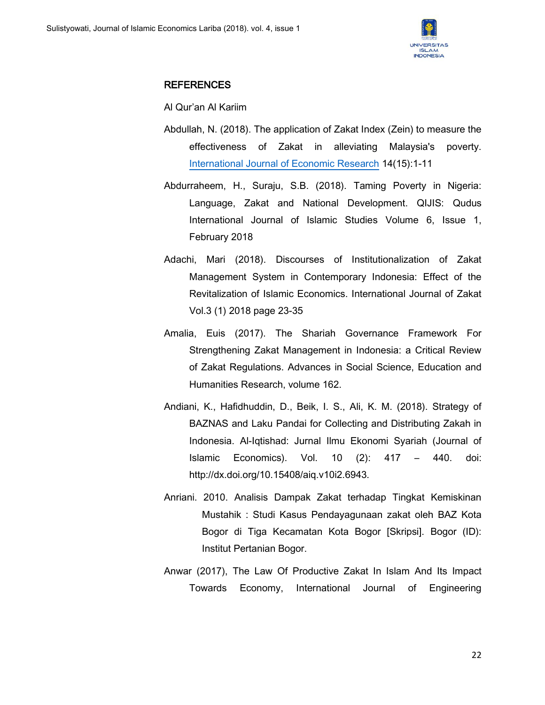

## REFERENCES

Al Qur'an Al Kariim

- Abdullah, N. (2018). The application of Zakat Index (Zein) to measure the effectiveness of Zakat in alleviating Malaysia's poverty. [International Journal of Economic Research](https://www.researchgate.net/journal/0972-9380_International_Journal_of_Economic_Research) 14(15):1-11
- Abdurraheem, H., Suraju, S.B. (2018). Taming Poverty in Nigeria: Language, Zakat and National Development. QIJIS: Qudus International Journal of Islamic Studies Volume 6, Issue 1, February 2018
- Adachi, Mari (2018). Discourses of Institutionalization of Zakat Management System in Contemporary Indonesia: Effect of the Revitalization of Islamic Economics. International Journal of Zakat Vol.3 (1) 2018 page 23-35
- Amalia, Euis (2017). The Shariah Governance Framework For Strengthening Zakat Management in Indonesia: a Critical Review of Zakat Regulations. Advances in Social Science, Education and Humanities Research, volume 162.
- Andiani, K., Hafidhuddin, D., Beik, I. S., Ali, K. M. (2018). Strategy of BAZNAS and Laku Pandai for Collecting and Distributing Zakah in Indonesia. Al-Iqtishad: Jurnal Ilmu Ekonomi Syariah (Journal of Islamic Economics). Vol. 10 (2): 417 – 440. doi: http://dx.doi.org/10.15408/aiq.v10i2.6943.
- Anriani. 2010. Analisis Dampak Zakat terhadap Tingkat Kemiskinan Mustahik : Studi Kasus Pendayagunaan zakat oleh BAZ Kota Bogor di Tiga Kecamatan Kota Bogor [Skripsi]. Bogor (ID): Institut Pertanian Bogor.
- Anwar (2017), The Law Of Productive Zakat In Islam And Its Impact Towards Economy, International Journal of Engineering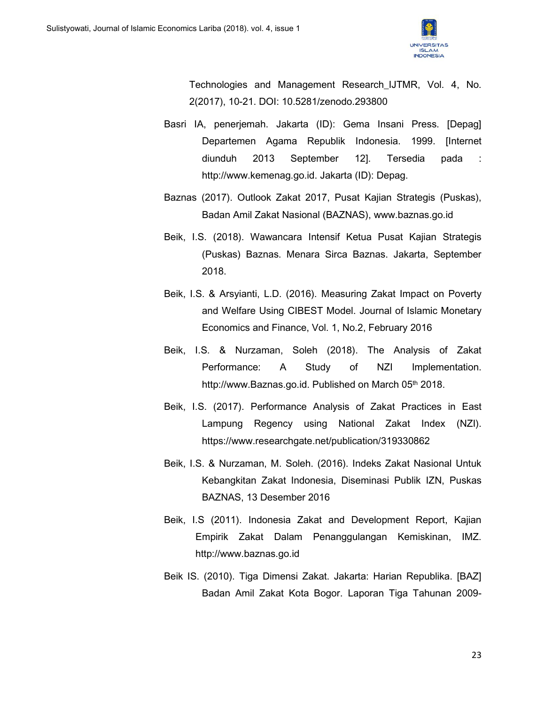

Technologies and Management Research\_IJTMR, Vol. 4, No. 2(2017), 10-21. DOI: 10.5281/zenodo.293800

- Basri IA, penerjemah. Jakarta (ID): Gema Insani Press. [Depag] Departemen Agama Republik Indonesia. 1999. [Internet diunduh 2013 September 12]. Tersedia pada : http://www.kemenag.go.id. Jakarta (ID): Depag.
- Baznas (2017). Outlook Zakat 2017, Pusat Kajian Strategis (Puskas), Badan Amil Zakat Nasional (BAZNAS), www.baznas.go.id
- Beik, I.S. (2018). Wawancara Intensif Ketua Pusat Kajian Strategis (Puskas) Baznas. Menara Sirca Baznas. Jakarta, September 2018.
- Beik, I.S. & Arsyianti, L.D. (2016). Measuring Zakat Impact on Poverty and Welfare Using CIBEST Model. Journal of Islamic Monetary Economics and Finance, Vol. 1, No.2, February 2016
- Beik, I.S. & Nurzaman, Soleh (2018). The Analysis of Zakat Performance: A Study of NZI Implementation. http://www.Baznas.go.id. Published on March 05th 2018.
- Beik, I.S. (2017). Performance Analysis of Zakat Practices in East Lampung Regency using National Zakat Index (NZI). https://www.researchgate.net/publication/319330862
- Beik, I.S. & Nurzaman, M. Soleh. (2016). Indeks Zakat Nasional Untuk Kebangkitan Zakat Indonesia, Diseminasi Publik IZN, Puskas BAZNAS, 13 Desember 2016
- Beik, I.S (2011). Indonesia Zakat and Development Report, Kajian Empirik Zakat Dalam Penanggulangan Kemiskinan, IMZ. http://www.baznas.go.id
- Beik IS. (2010). Tiga Dimensi Zakat. Jakarta: Harian Republika. [BAZ] Badan Amil Zakat Kota Bogor. Laporan Tiga Tahunan 2009-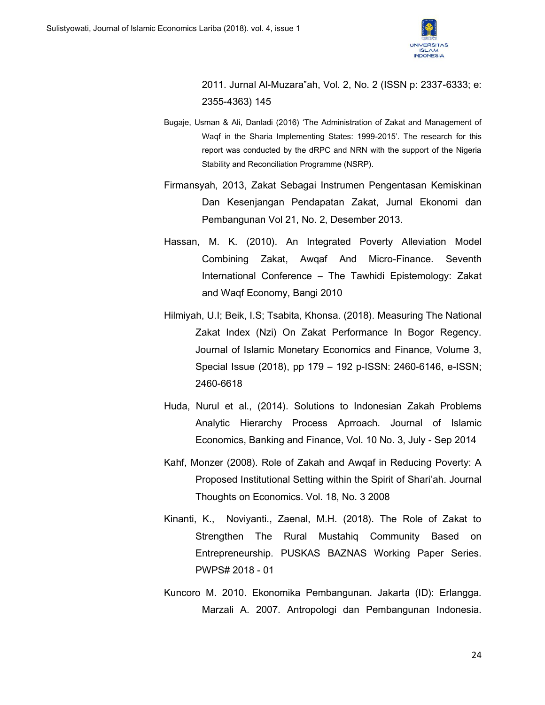

2011. Jurnal Al-Muzara"ah, Vol. 2, No. 2 (ISSN p: 2337-6333; e: 2355-4363) 145

- Bugaje, Usman & Ali, Danladi (2016) 'The Administration of Zakat and Management of Waqf in the Sharia Implementing States: 1999-2015'. The research for this report was conducted by the dRPC and NRN with the support of the Nigeria Stability and Reconciliation Programme (NSRP).
- Firmansyah, 2013, Zakat Sebagai Instrumen Pengentasan Kemiskinan Dan Kesenjangan Pendapatan Zakat, Jurnal Ekonomi dan Pembangunan Vol 21, No. 2, Desember 2013.
- Hassan, M. K. (2010). An Integrated Poverty Alleviation Model Combining Zakat, Awqaf And Micro-Finance. Seventh International Conference – The Tawhidi Epistemology: Zakat and Waqf Economy, Bangi 2010
- Hilmiyah, U.I; Beik, I.S; Tsabita, Khonsa. (2018). Measuring The National Zakat Index (Nzi) On Zakat Performance In Bogor Regency. Journal of Islamic Monetary Economics and Finance, Volume 3, Special Issue (2018), pp 179 – 192 p-ISSN: 2460-6146, e-ISSN; 2460-6618
- Huda, Nurul et al., (2014). Solutions to Indonesian Zakah Problems Analytic Hierarchy Process Aprroach. Journal of Islamic Economics, Banking and Finance, Vol. 10 No. 3, July - Sep 2014
- Kahf, Monzer (2008). Role of Zakah and Awqaf in Reducing Poverty: A Proposed Institutional Setting within the Spirit of Shari'ah. Journal Thoughts on Economics. Vol. 18, No. 3 2008
- Kinanti, K., Noviyanti., Zaenal, M.H. (2018). The Role of Zakat to Strengthen The Rural Mustahiq Community Based on Entrepreneurship. PUSKAS BAZNAS Working Paper Series. PWPS# 2018 - 01
- Kuncoro M. 2010. Ekonomika Pembangunan. Jakarta (ID): Erlangga. Marzali A. 2007. Antropologi dan Pembangunan Indonesia.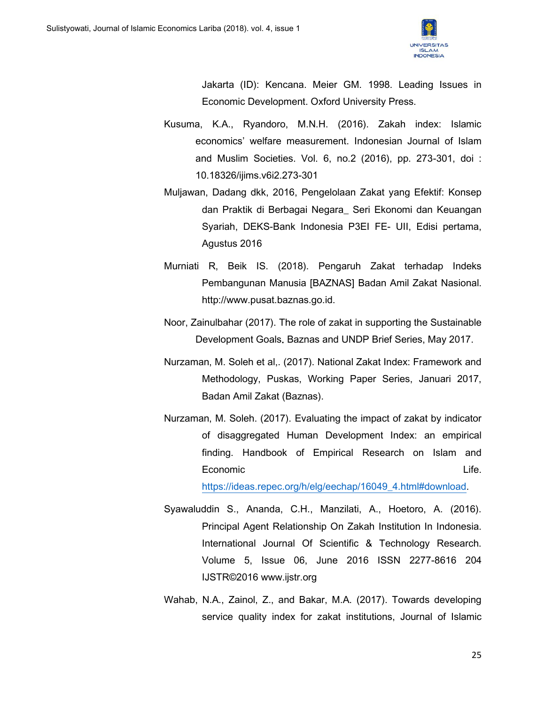

Jakarta (ID): Kencana. Meier GM. 1998. Leading Issues in Economic Development. Oxford University Press.

- Kusuma, K.A., Ryandoro, M.N.H. (2016). Zakah index: Islamic economics' welfare measurement. Indonesian Journal of Islam and Muslim Societies. Vol. 6, no.2 (2016), pp. 273-301, doi : 10.18326/ijims.v6i2.273-301
- Muljawan, Dadang dkk, 2016, Pengelolaan Zakat yang Efektif: Konsep dan Praktik di Berbagai Negara\_ Seri Ekonomi dan Keuangan Syariah, DEKS-Bank Indonesia P3EI FE- UII, Edisi pertama, Agustus 2016
- Murniati R, Beik IS. (2018). Pengaruh Zakat terhadap Indeks Pembangunan Manusia [BAZNAS] Badan Amil Zakat Nasional. http://www.pusat.baznas.go.id.
- Noor, Zainulbahar (2017). The role of zakat in supporting the Sustainable Development Goals. Baznas and UNDP Brief Series, May 2017.
- Nurzaman, M. Soleh et al,. (2017). National Zakat Index: Framework and Methodology, Puskas, Working Paper Series, Januari 2017, Badan Amil Zakat (Baznas).
- Nurzaman, M. Soleh. (2017). Evaluating the impact of zakat by indicator of disaggregated Human Development Index: an empirical finding. Handbook of Empirical Research on Islam and Economic Life.

[https://ideas.repec.org/h/elg/eechap/16049\\_4.html#download.](https://ideas.repec.org/h/elg/eechap/16049_4.html#download)

- Syawaluddin S., Ananda, C.H., Manzilati, A., Hoetoro, A. (2016). Principal Agent Relationship On Zakah Institution In Indonesia. International Journal Of Scientific & Technology Research. Volume 5, Issue 06, June 2016 ISSN 2277-8616 204 IJSTR©2016 www.ijstr.org
- Wahab, N.A., Zainol, Z., and Bakar, M.A. (2017). Towards developing service quality index for zakat institutions, Journal of Islamic